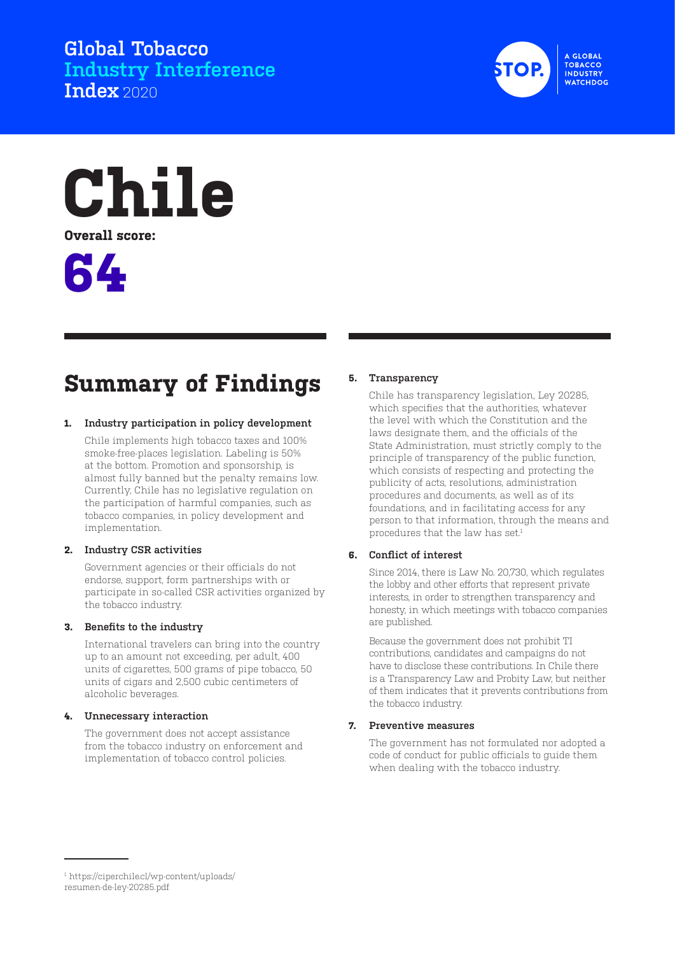**Global Tobacco Industry Interference Index** 2020



**Chile Overall score:**



# **Summary of Findings**

#### **1. Industry participation in policy development**

Chile implements high tobacco taxes and 100% smoke-free-places legislation. Labeling is 50% at the bottom. Promotion and sponsorship, is almost fully banned but the penalty remains low. Currently, Chile has no legislative regulation on the participation of harmful companies, such as tobacco companies, in policy development and implementation.

#### **2. Industry CSR activities**

Government agencies or their officials do not endorse, support, form partnerships with or participate in so-called CSR activities organized by the tobacco industry.

#### **3. Benefits to the industry**

International travelers can bring into the country up to an amount not exceeding, per adult, 400 units of cigarettes, 500 grams of pipe tobacco, 50 units of cigars and 2,500 cubic centimeters of alcoholic beverages.

#### **4. Unnecessary interaction**

The government does not accept assistance from the tobacco industry on enforcement and implementation of tobacco control policies.

#### **5. Transparency**

Chile has transparency legislation, Ley 20285, which specifies that the authorities, whatever the level with which the Constitution and the laws designate them, and the officials of the State Administration, must strictly comply to the principle of transparency of the public function, which consists of respecting and protecting the publicity of acts, resolutions, administration procedures and documents, as well as of its foundations, and in facilitating access for any person to that information, through the means and procedures that the law has set.<sup>1</sup>

### **6. Conflict of interest**

Since 2014, there is Law No. 20,730, which regulates the lobby and other efforts that represent private interests, in order to strengthen transparency and honesty, in which meetings with tobacco companies are published.

Because the government does not prohibit TI contributions, candidates and campaigns do not have to disclose these contributions. In Chile there is a Transparency Law and Probity Law, but neither of them indicates that it prevents contributions from the tobacco industry.

#### **7. Preventive measures**

The government has not formulated nor adopted a code of conduct for public officials to guide them when dealing with the tobacco industry.

<sup>1</sup> https://ciperchile.cl/wp-content/uploads/ resumen-de-ley-20285.pdf